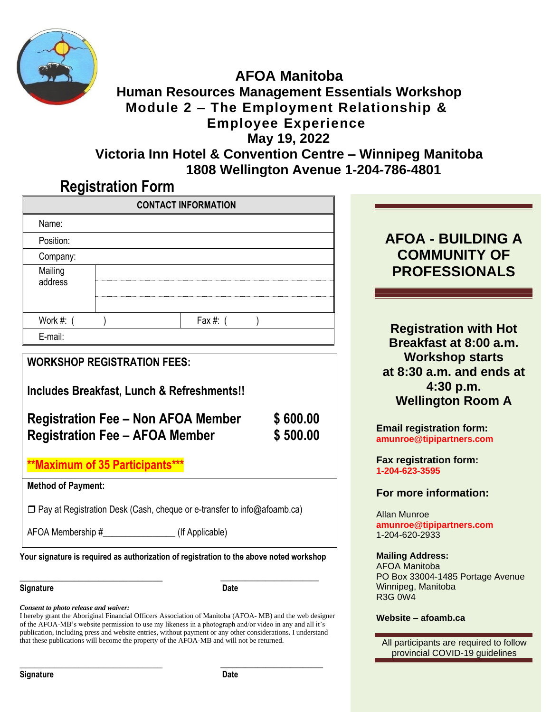

### **AFOA Manitoba Human Resources Management Essentials Workshop Module 2 – The Employment Relationship & Employee Experience May 19, 2022 Victoria Inn Hotel & Convention Centre – Winnipeg Manitoba**

**1808 Wellington Avenue 1-204-786-4801**

## **Registration Form**

|                                                                                                |  | <b>CONTACT INFORMATION</b>                                                              |  |                                                                                             |  |
|------------------------------------------------------------------------------------------------|--|-----------------------------------------------------------------------------------------|--|---------------------------------------------------------------------------------------------|--|
| Name:<br>Position:                                                                             |  |                                                                                         |  | <b>AFOA - BUILDING A</b>                                                                    |  |
| Company:                                                                                       |  |                                                                                         |  | <b>COMMUNITY OF</b>                                                                         |  |
| Mailing<br>address                                                                             |  |                                                                                         |  | <b>PROFESSIONALS</b>                                                                        |  |
| Work #: (                                                                                      |  | Fax #: $($                                                                              |  | <b>Registration with Hot</b>                                                                |  |
| E-mail:                                                                                        |  |                                                                                         |  | Breakfast at 8:00 a.m.                                                                      |  |
| <b>WORKSHOP REGISTRATION FEES:</b><br>Includes Breakfast, Lunch & Refreshments!!<br>\$600.00   |  |                                                                                         |  | <b>Workshop starts</b><br>at 8:30 a.m. and ends at<br>4:30 p.m.<br><b>Wellington Room A</b> |  |
| <b>Registration Fee - Non AFOA Member</b><br><b>Registration Fee - AFOA Member</b><br>\$500.00 |  |                                                                                         |  | <b>Email registration form:</b><br>amunroe@tipipartners.com                                 |  |
| **Maximum of 35 Participants***                                                                |  |                                                                                         |  | Fax registration form:<br>1-204-623-3595                                                    |  |
| <b>Method of Payment:</b>                                                                      |  |                                                                                         |  | For more information:                                                                       |  |
|                                                                                                |  | $\Box$ Pay at Registration Desk (Cash, cheque or e-transfer to info@afoamb.ca)          |  | <b>Allan Munroe</b>                                                                         |  |
| (If Applicable)<br>AFOA Membership #                                                           |  |                                                                                         |  | amunroe@tipipartners.com<br>1-204-620-2933                                                  |  |
|                                                                                                |  | Your signature is required as authorization of registration to the above noted workshop |  | <b>Mailing Address:</b><br>$\Lambda$ E $\Lambda$ $\Lambda$ Monitoho                         |  |

### **Signature Date**

*Consent to photo release and waiver:*

I hereby grant the Aboriginal Financial Officers Association of Manitoba (AFOA- MB) and the web designer of the AFOA-MB's website permission to use my likeness in a photograph and/or video in any and all it's publication, including press and website entries, without payment or any other considerations. I understand that these publications will become the property of the AFOA-MB and will not be returned.

**\_\_\_\_\_\_\_\_\_\_\_\_\_\_\_\_\_\_\_\_\_\_\_\_\_\_\_\_\_ \_\_\_\_\_\_\_\_\_\_\_\_\_\_\_\_\_\_\_\_\_\_\_\_\_**

**\_\_\_\_\_\_\_\_\_\_\_\_\_\_\_\_\_\_\_\_\_\_\_\_\_\_\_\_\_ \_\_\_\_\_\_\_\_\_\_\_\_\_\_\_\_\_\_\_\_\_\_\_\_**

# **COMMUNITY OF PROFESSIONALS**

### **For more information:**

### **Mailing Address:**

AFOA Manitoba PO Box 33004-1485 Portage Avenue Winnipeg, Manitoba R3G 0W4

### **Website – afoamb.ca**

All participants are required to follow provincial COVID-19 guidelines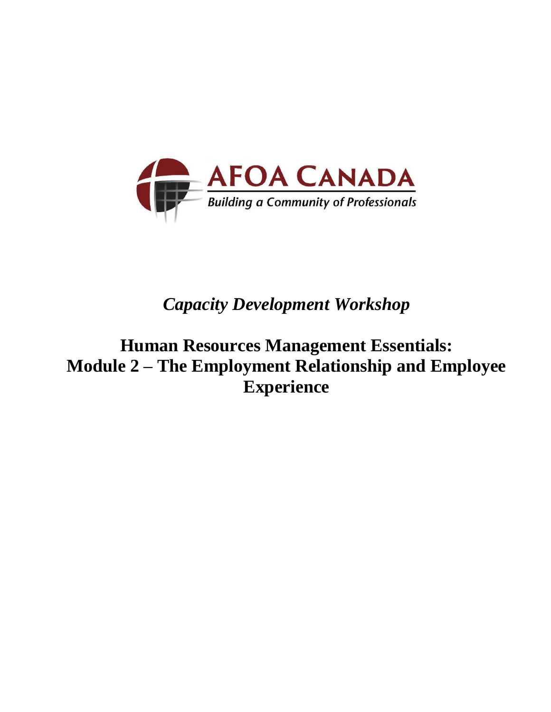

# *Capacity Development Workshop*

**Human Resources Management Essentials: Module 2 – The Employment Relationship and Employee Experience**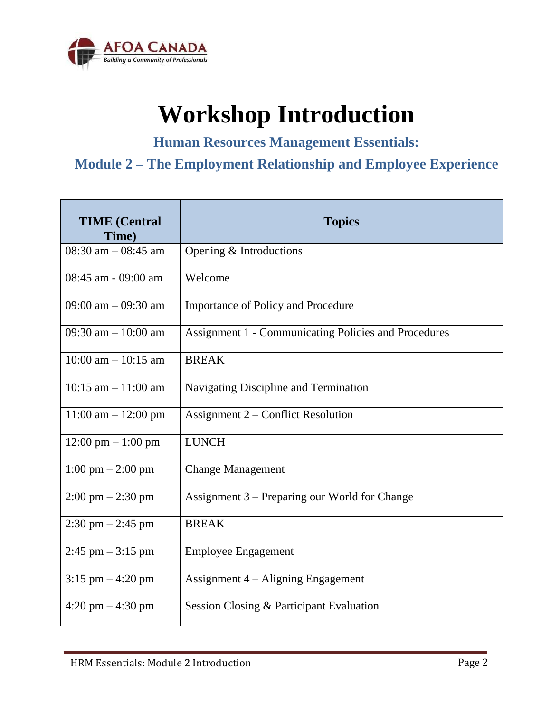

# **Workshop Introduction**

**Human Resources Management Essentials:**

## **Module 2 – The Employment Relationship and Employee Experience**

| <b>TIME</b> (Central<br>Time)        | <b>Topics</b>                                               |  |  |
|--------------------------------------|-------------------------------------------------------------|--|--|
| 08:30 am $-$ 08:45 am                | Opening & Introductions                                     |  |  |
| 08:45 am - 09:00 am                  | Welcome                                                     |  |  |
| 09:00 am $-$ 09:30 am                | <b>Importance of Policy and Procedure</b>                   |  |  |
| 09:30 am $-10:00$ am                 | <b>Assignment 1 - Communicating Policies and Procedures</b> |  |  |
| $10:00$ am $- 10:15$ am              | <b>BREAK</b>                                                |  |  |
| $10:15$ am $-11:00$ am               | Navigating Discipline and Termination                       |  |  |
| $11:00$ am $- 12:00$ pm              | Assignment $2$ – Conflict Resolution                        |  |  |
| $12:00 \text{ pm} - 1:00 \text{ pm}$ | <b>LUNCH</b>                                                |  |  |
| $1:00 \text{ pm} - 2:00 \text{ pm}$  | <b>Change Management</b>                                    |  |  |
| $2:00 \text{ pm} - 2:30 \text{ pm}$  | Assignment 3 – Preparing our World for Change               |  |  |
| $2:30 \text{ pm} - 2:45 \text{ pm}$  | <b>BREAK</b>                                                |  |  |
| $2:45$ pm $-3:15$ pm                 | <b>Employee Engagement</b>                                  |  |  |
| $3:15$ pm $-4:20$ pm                 | Assignment $4 -$ Aligning Engagement                        |  |  |
| $4:20 \text{ pm} - 4:30 \text{ pm}$  | Session Closing & Participant Evaluation                    |  |  |